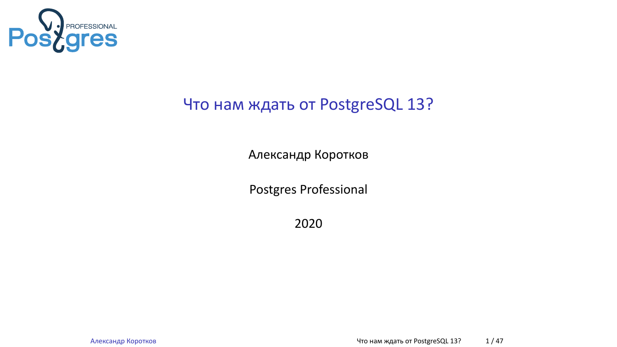

## Что нам ждать от PostgreSQL 13?

Александр Коротков

Postgres Professional

2020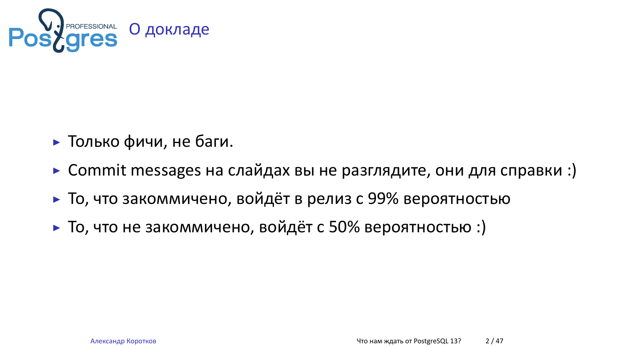

- ▶ Только фичи, не баги.
- ▶ Commit messages на слайдах вы не разглядите, они для справки :)
- ▶ То, что закоммичено, войдёт в релиз с 99% вероятностью
- ▶ То, что не закоммичено, войдёт с 50% вероятностью :)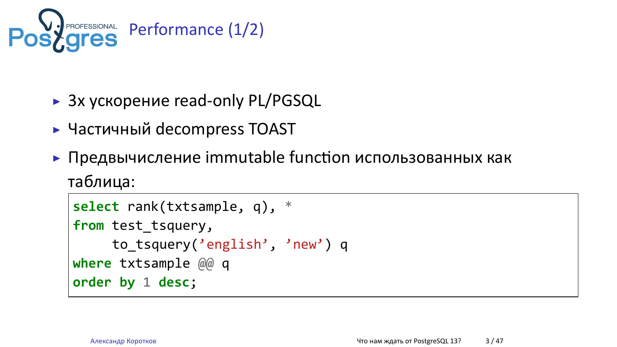

- ▶ 3х ускорение read-only PL/PGSQL
- ▶ Частичный decompress TOAST
- $\blacktriangleright$  Предвычисление immutable function использованных как

```
таблица:
```

```
select rank(txtsample, q), *
from test_tsquery,
    to_tsquery('english', 'new') q
where txtsample @@ q
order by 1 desc;
```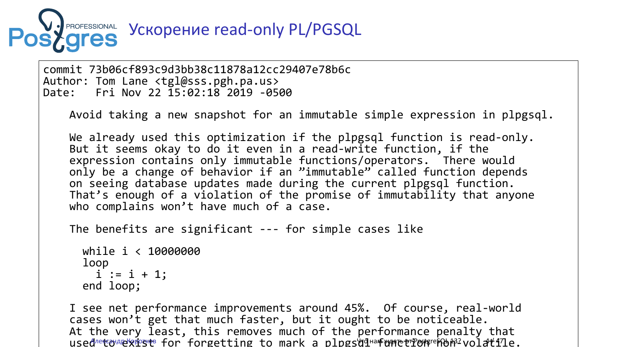

commit 73b06cf893c9d3bb38c11878a12cc29407e78b6c Author: Tom Lane <tgl@sss.pgh.pa.us> Date: Fri Nov 22 15:02:18 2019 -0500

Avoid taking a new snapshot for an immutable simple expression in plpgsql.

We already used this optimization if the plpgsql function is read-only. But it seems okay to do it even in a read-write function, if the expression contains only immutable functions/operators. There would only be a change of behavior if an "immutable" called function depends on seeing database updates made during the current plpgsql function. That's enough of a violation of the promise of immutability that anyone who complains won't have much of a case.

The benefits are significant --- for simple cases like

while i < 10000000 loop  $i := i + 1;$ end loop;

I see net performance improvements around 45%. Of course, real-world cases won't get that much faster, but it ought to be noticeable. At the very least, this removes much of the performance penalty that used@etouexest for forgetting to mark a plpgsqquafunction@en?volatile.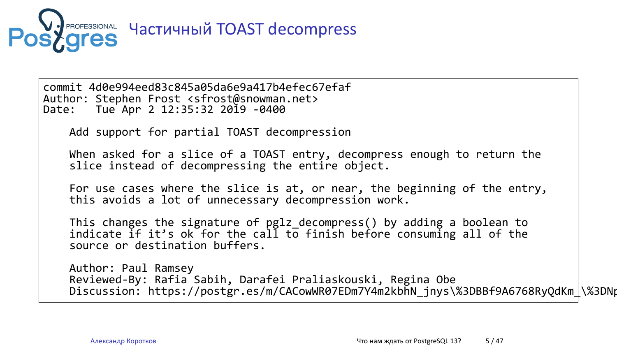

commit 4d0e994eed83c845a05da6e9a417b4efec67efaf Author: Stephen Frost <sfrost@snowman.net> Date: Tue Apr 2 12:35:32 2019 -0400 Add support for partial TOAST decompression When asked for a slice of a TOAST entry, decompress enough to return the slice instead of decompressing the entire object. For use cases where the slice is at, or near, the beginning of the entry, this avoids a lot of unnecessary decompression work. This changes the signature of pglz\_decompress() by adding a boolean to indicate  $if$  it's ok for the call to finish before consuming all of the source or destination buffers. Author: Paul Ramsey Reviewed-By: Rafia Sabih, Darafei Praliaskouski, Regina Obe Discussion: https://postgr.es/m/CACowWR07EDm7Y4m2kbhN\_jnys\%3DBBf9A6768RyQdKm\_\%3DNpkcaWg\%40mail.gmail.com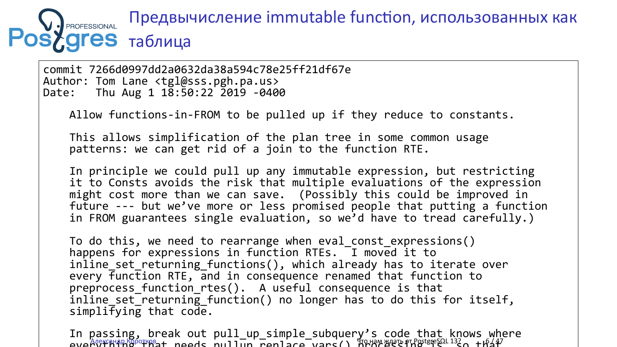#### Предвычисление immutable function, использованных как PROFESSIONAL **s**ygres таблица

commit 7266d0997dd2a0632da38a594c78e25ff21df67e Author: Tom Lane <tgl@sss.pgh.pa.us> Date: Thu Aug 1 18:50:22 2019 -0400 Allow functions-in-FROM to be pulled up if they reduce to constants. This allows simplification of the plan tree in some common usage patterns: we can get rid of a join to the function RTE. In principle we could pull up any immutable expression, but restricting it to Consts avoids the risk that multiple evaluations of the expression might cost more than we can save. (Possibly this could be improved in future --- but we've more or less promised people that putting a function in FROM guarantees single evaluation, so we'd have to tread carefully.) To do this, we need to rearrange when eval\_const\_expressions() happens for expressions in function RTEs. I moved it to inline\_set\_returning\_functions(), which already has to iterate over every function RTE, and in consequence renamed that function to preprocess\_function\_rtes(). A useful consequence is that inline set returning function() no longer has to do this for itself, simplifying that code.

In passing, break out pull\_up\_simple\_subquery's code that knows where everythe the processing that the pullup of the processing is that the control of the society of the society of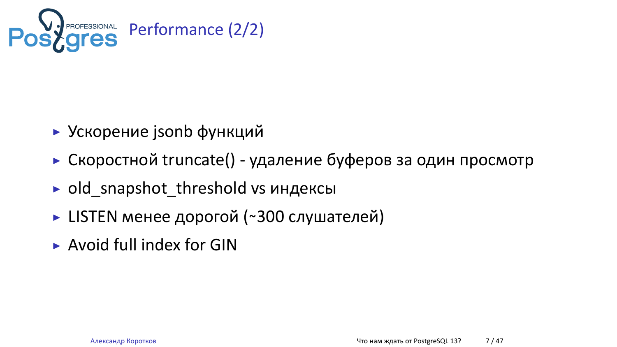

- ▶ Ускорение jsonb функций
- ▶ Скоростной truncate() удаление буферов за один просмотр
- ▶ old\_snapshot\_threshold vs индексы
- **LISTEN менее дорогой (~300 слушателей)**
- ▶ Avoid full index for GIN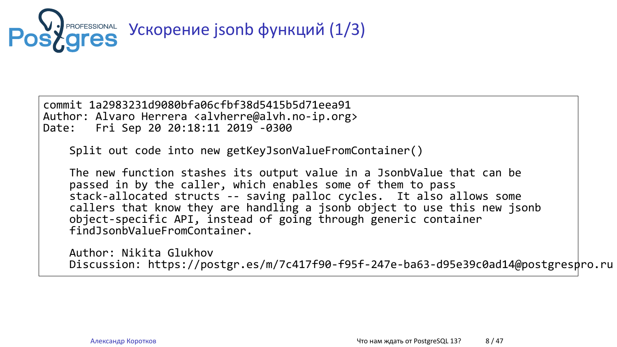

commit 1a2983231d9080bfa06cfbf38d5415b5d71eea91 Author: Alvaro Herrera <alvherre@alvh.no-ip.org> Date: Fri Sep 20 20:18:11 2019 -0300

Split out code into new getKeyJsonValueFromContainer()

The new function stashes its output value in a JsonbValue that can be passed in by the caller, which enables some of them to pass stack-allocated structs -- saving palloc cycles. It also allows some callers that know they are handling a jsonb object to use this new jsonb object-specific API, instead of going through generic container findJsonbValueFromContainer.

Author: Nikita Glukhov Discussion: https://postgr.es/m/7c417f90-f95f-247e-ba63-d95e39c0ad14@postgrespro.ru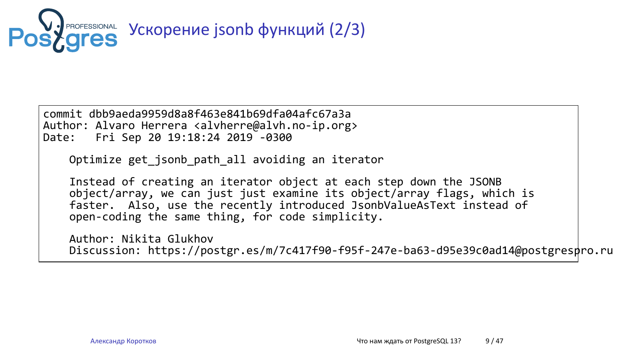

commit dbb9aeda9959d8a8f463e841b69dfa04afc67a3a Author: Alvaro Herrera <alvherre@alvh.no-ip.org> Date: Fri Sep 20 19:18:24 2019 -0300

Optimize get\_jsonb\_path\_all avoiding an iterator

Instead of creating an iterator object at each step down the JSONB object/array, we can just just examine its object/array flags, which is faster. Also, use the recently introduced JsonbValueAsText instead of open-coding the same thing, for code simplicity.

Author: Nikita Glukhov Discussion: https://postgr.es/m/7c417f90-f95f-247e-ba63-d95e39c0ad14@postgrespro.ru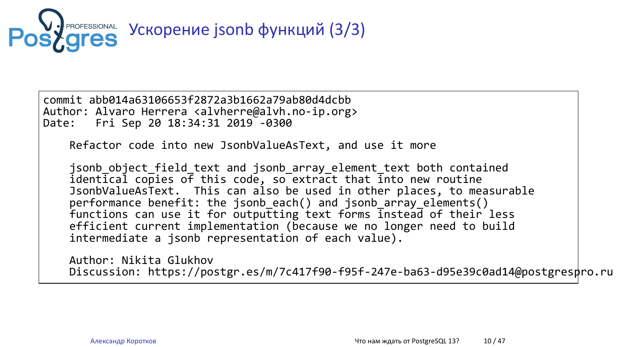

**РАСРЕБЗЮЛАL УСКОРЕНИЕ jsonb функций (3/3)** 

commit abb014a63106653f2872a3b1662a79ab80d4dcbb Author: Alvaro Herrera <alvherre@alvh.no-ip.org> Date: Fri Sep 20 18:34:31 2019 -0300

Refactor code into new JsonbValueAsText, and use it more

jsonb\_object\_field\_text and jsonb\_array\_element\_text both contained identical copies of this code, so extract that into new routine JsonbValueAsText. This can also be used in other places, to measurable performance benefit: the jsonb\_each() and jsonb\_array\_elements() functions can use it for outputting text forms instead of their less efficient current implementation (because we no longer need to build intermediate a jsonb representation of each value).

Author: Nikita Glukhov Discussion: https://postgr.es/m/7c417f90-f95f-247e-ba63-d95e39c0ad14@postgrespro.ru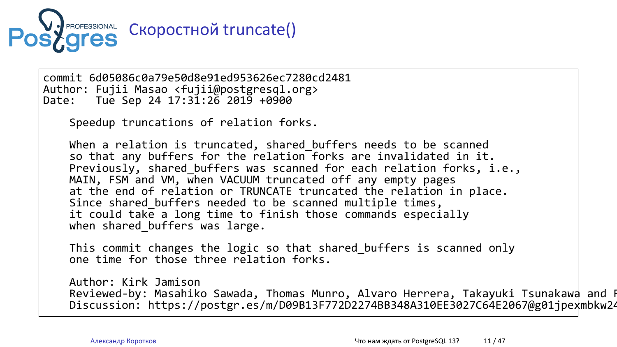

commit 6d05086c0a79e50d8e91ed953626ec7280cd2481 Author: Fujii Masao <fujii@postgresql.org> Date: Tue Sep 24 17:31:26 2019 +0900 Speedup truncations of relation forks. When a relation is truncated, shared\_buffers needs to be scanned so that any buffers for the relation forks are invalidated in it. Previously, shared\_buffers was scanned for each relation forks, i.e., MAIN, FSM and VM, when VACUUM truncated off any empty pages at the end of relation or TRUNCATE truncated the relation in place. Since shared\_buffers needed to be scanned multiple times, it could take a long time to finish those commands especially when shared\_buffers was large. This commit changes the logic so that shared\_buffers is scanned only one time for those three relation forks. Author: Kirk Jamison Reviewed-by: Masahiko Sawada, Thomas Munro, Alvaro Herrera, Takayuki Tsunakawa and Fujii Masao Discussion: https://postgr.es/m/D09B13F772D2274BB348A310EE3027C64E2067@g01jpexmbkw24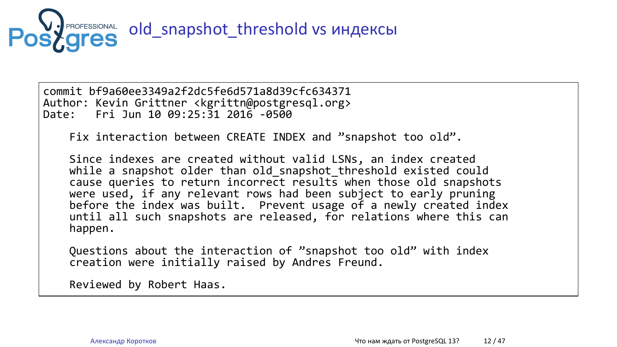

commit bf9a60ee3349a2f2dc5fe6d571a8d39cfc634371 Author: Kevin Grittner <kgrittn@postgresql.org> Date: Fri Jun 10 09:25:31 2016 -0500

Fix interaction between CREATE INDEX and "snapshot too old".

Since indexes are created without valid LSNs, an index created while a snapshot older than old\_snapshot\_threshold existed could cause queries to return incorrect results when those old snapshots were used, if any relevant rows had been subject to early pruning before the index was built. Prevent usage of a newly created index until all such snapshots are released, for relations where this can happen.

Questions about the interaction of "snapshot too old" with index creation were initially raised by Andres Freund.

Reviewed by Robert Haas.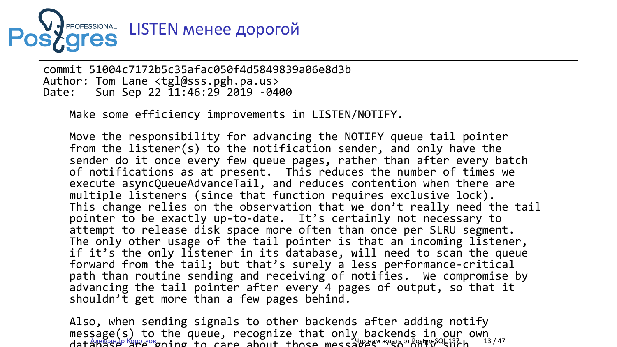

commit 51004c7172b5c35afac050f4d5849839a06e8d3b Author: Tom Lane <tgl@sss.pgh.pa.us> Date: Sun Sep 22 11:46:29 2019 -0400

Make some efficiency improvements in LISTEN/NOTIFY.

Move the responsibility for advancing the NOTIFY queue tail pointer from the listener(s) to the notification sender, and only have the sender do it once every few queue pages, rather than after every batch of notifications as at present. This reduces the number of times we execute asyncQueueAdvanceTail, and reduces contention when there are multiple listeners (since that function requires exclusive lock). This change relies on the observation that we don't really need the tail pointer to be exactly up-to-date. It's certainly not necessary to attempt to release disk space more often than once per SLRU segment. The only other usage of the tail pointer is that an incoming listener, if it's the only listener in its database, will need to scan the queue forward from the tail; but that's surely a less performance-critical path than routine sending and receiving of notifies. We compromise by advancing the tail pointer after every 4 pages of output, so that it shouldn't get more than a few pages behind.

Also, when sending signals to other backends after adding notify message(s) to the queue, recognize that only backends in our own dat ARETHAP ERPECTOR TO CAPE about those messaged "AREN OT POSTFIC ALLET" NAVATA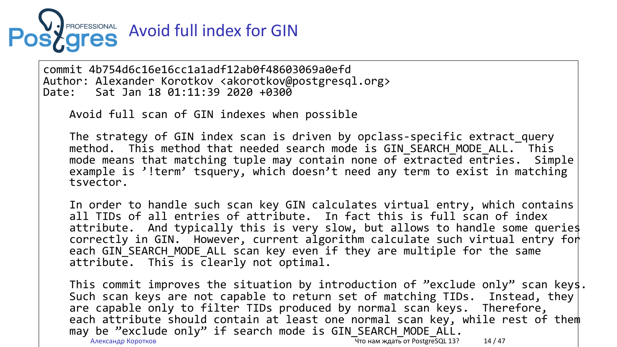

commit 4b754d6c16e16cc1a1adf12ab0f48603069a0efd Author: Alexander Korotkov <akorotkov@postgresql.org> Date: Sat Jan 18 01:11:39 2020 +0300

Avoid full scan of GIN indexes when possible

The strategy of GIN index scan is driven by opclass-specific extract\_query method. This method that needed search mode is GIN\_SEARCH\_MODE\_ALL. This mode means that matching tuple may contain none of extracted entries. Simple example is '!term' tsquery, which doesn't need any term to exist in matching tsvector.

In order to handle such scan key GIN calculates virtual entry, which contains all TIDs of all entries of attribute. In fact this is full scan of index attribute. And typically this is very slow, but allows to handle some queries correctly in GIN. However, current algorithm calculate such virtual entry for each GIN\_SEARCH\_MODE\_ALL scan key even if they are multiple for the same attribute. This is clearly not optimal.

This commit improves the situation by introduction of "exclude only" scan keys<br>Such scan keys are not capable to return set of matching TIDs. Instead, they Such scan keys are not capable to return set of matching TIDs. Instead, they are capable only to filter TIDs produced by normal scan keys. Therefore, each attribute should contain at least one normal scan key, while rest of them may be "exclude only" if search mode is GIN\_SEARCH\_MODE\_ALL. Александр Коротков Что нам ждать от PostgreSQL 13? 14 / 47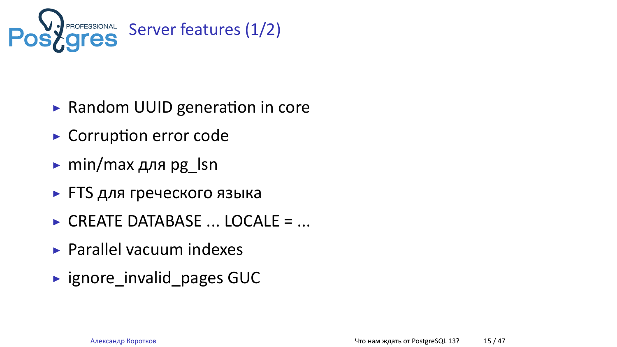

- ▶ Random UUID generation in core
- $\blacktriangleright$  Corruption error code
- ▶ min/max для pg\_lsn
- ▶ FTS для греческого языка
- ▶ CREATE DATABASE ... LOCALE = ...
- ▶ Parallel vacuum indexes
- ▶ ignore\_invalid\_pages GUC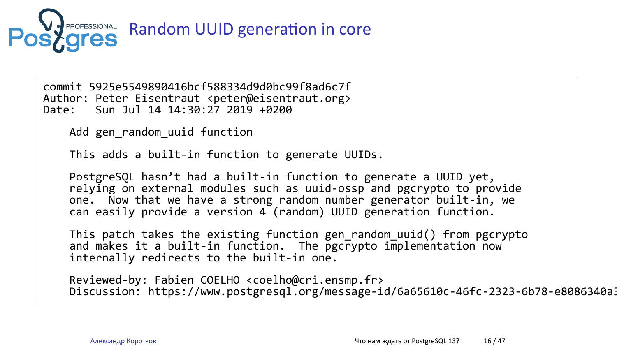

# Random UUID generation in core

commit 5925e5549890416bcf588334d9d0bc99f8ad6c7f Author: Peter Eisentraut <peter@eisentraut.org> Date: Sun Jul 14 14:30:27 2019 +0200

Add gen\_random\_uuid function

This adds a built-in function to generate UUIDs.

PostgreSQL hasn't had a built-in function to generate a UUID yet, relying on external modules such as uuid-ossp and pgcrypto to provide one. Now that we have a strong random number generator built-in, we can easily provide a version 4 (random) UUID generation function.

This patch takes the existing function gen\_random\_uuid() from pgcrypto and makes it a built-in function. The pgcrypto implementation now internally redirects to the built-in one.

Reviewed-by: Fabien COELHO <coelho@cri.ensmp.fr> Discussion: https://www.postgresql.org/message-id/6a65610c-46fc-2323-6b78-e8086340a325@2ndquadrant.com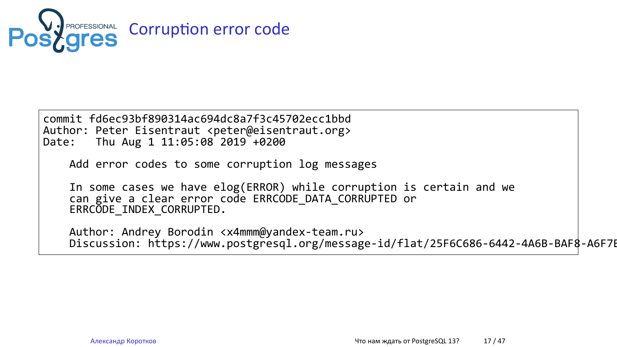

commit fd6ec93bf890314ac694dc8a7f3c45702ecc1bbd Author: Peter Eisentraut <peter@eisentraut.org> Date: Thu Aug 1 11:05:08 2019 +0200

Add error codes to some corruption log messages

In some cases we have elog(ERROR) while corruption is certain and we can give a clear error code ERRCODE\_DATA\_CORRUPTED or ERRCODE\_INDEX\_CORRUPTED.

Author: Andrey Borodin <x4mmm@yandex-team.ru> Discussion: https://www.postgresql.org/message-id/flat/25F6C686-6442-4A6B-BAF8-A6F7B84B16DE@yandex-team.ru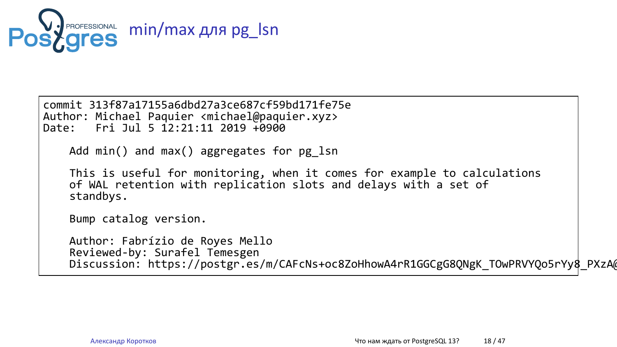

commit 313f87a17155a6dbd27a3ce687cf59bd171fe75e Author: Michael Paquier <michael@paquier.xyz> Date: Fri Jul 5 12:21:11 2019 +0900

Add min() and max() aggregates for pg\_lsn

This is useful for monitoring, when it comes for example to calculations of WAL retention with replication slots and delays with a set of standbys.

Bump catalog version.

Author: Fabrízio de Royes Mello Reviewed-by: Surafel Temesgen Discussion: https://postgr.es/m/CAFcNs+oc8ZoHhowA4rR1GGCgG8QNgK\_TOwPRVYQo5rYy8\_PXzA@mail.gmail.com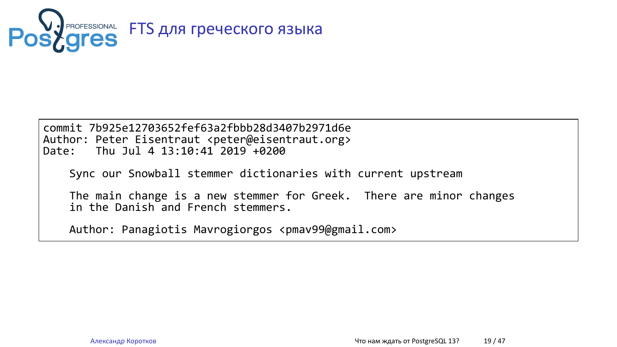

commit 7b925e12703652fef63a2fbbb28d3407b2971d6e Author: Peter Eisentraut <peter@eisentraut.org> Date: Thu Jul 4 13:10:41 2019 +0200

Sync our Snowball stemmer dictionaries with current upstream

The main change is a new stemmer for Greek. There are minor changes in the Danish and French stemmers.

Author: Panagiotis Mavrogiorgos <pmav99@gmail.com>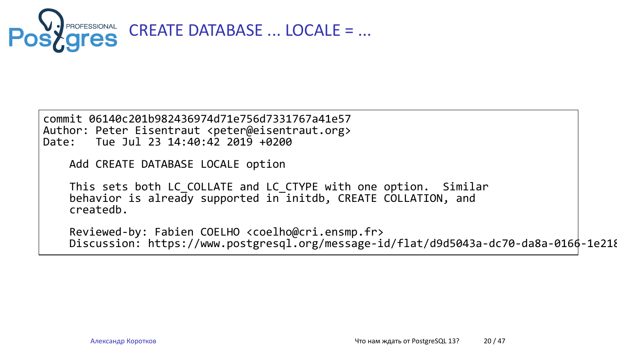

commit 06140c201b982436974d71e756d7331767a41e57 Author: Peter Eisentraut <peter@eisentraut.org> Date: Tue Jul 23 14:40:42 2019 +0200

Add CREATE DATABASE LOCALE option

This sets both LC\_COLLATE and LC\_CTYPE with one option. Similar behavior is already supported in initdb, CREATE COLLATION, and createdb.

Reviewed-by: Fabien COELHO <coelho@cri.ensmp.fr> Discussion: https://www.postgresql.org/message-id/flat/d9d5043a-dc70-da8a-0166-1e218e6e34d4\%402ndquadrant.com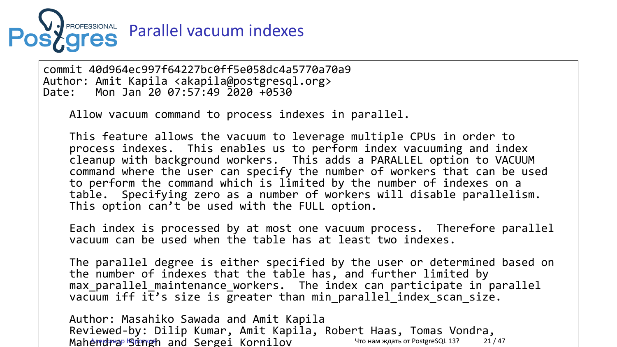

commit 40d964ec997f64227bc0ff5e058dc4a5770a70a9 Author: Amit Kapila <akapila@postgresql.org> Date: Mon Jan 20 07:57:49 2020 +0530

Allow vacuum command to process indexes in parallel.

This feature allows the vacuum to leverage multiple CPUs in order to process indexes. This enables us to perform index vacuuming and index cleanup with background workers. This adds a PARALLEL option to VACUUM command where the user can specify the number of workers that can be used to perform the command which is limited by the number of indexes on a table. Specifying zero as a number of workers will disable parallelism. This option can't be used with the FULL option.

Each index is processed by at most one vacuum process. Therefore parallel vacuum can be used when the table has at least two indexes.

The parallel degree is either specified by the user or determined based on the number of indexes that the table has, and further limited by max\_parallel\_maintenance\_workers. The index can participate in parallel  $vacuum$  iff it's size is greater than min\_parallel\_index\_scan\_size.

Author: Masahiko Sawada and Amit Kapila Reviewed-by: Dilip Kumar, Amit Kapila, Robert Haas, Tomas Vondra, MahemdPrap Singh and Sergei Kornilov Чтонам ждать от PostgreSQL 13? 21/47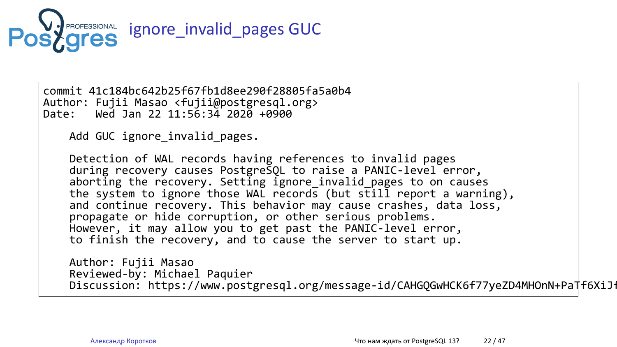

commit 41c184bc642b25f67fb1d8ee290f28805fa5a0b4 Author: Fujii Masao <fujii@postgresql.org> Date: Wed Jan 22 11:56:34 2020 +0900

Add GUC ignore\_invalid\_pages.

Detection of WAL records having references to invalid pages during recovery causes PostgreSQL to raise a PANIC-level error, aborting the recovery. Setting ignore\_invalid\_pages to on causes the system to ignore those WAL records (but still report a warning), and continue recovery. This behavior may cause crashes, data loss, propagate or hide corruption, or other serious problems. However, it may allow you to get past the PANIC-level error, to finish the recovery, and to cause the server to start up.

Author: Fujii Masao Reviewed-by: Michael Paquier Discussion: https://www.postgresql.org/message-id/CAHGQGwHCK6f77yeZD4MHOnN+PaTf6XiJfEB+Ce7SksSHjeAWtg@mail.gmail.com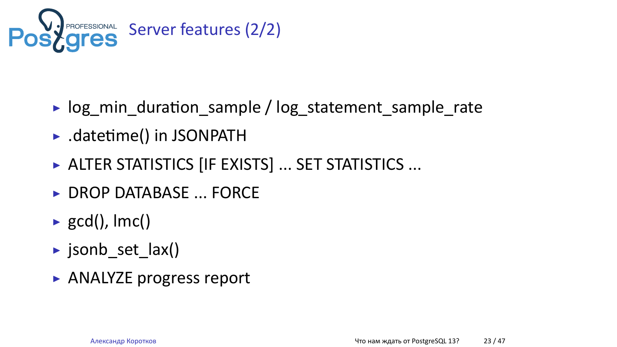

- ▶ log\_min\_duraƟon\_sample / log\_statement\_sample\_rate
- ▶ .datetime() in JSONPATH
- ▶ ALTER STATISTICS [IF EXISTS] ... SET STATISTICS ...
- ▶ DROP DATABASE ... FORCE
- $\blacktriangleright$  gcd(), lmc()
- ▶ jsonb\_set\_lax()
- ▶ ANALYZE progress report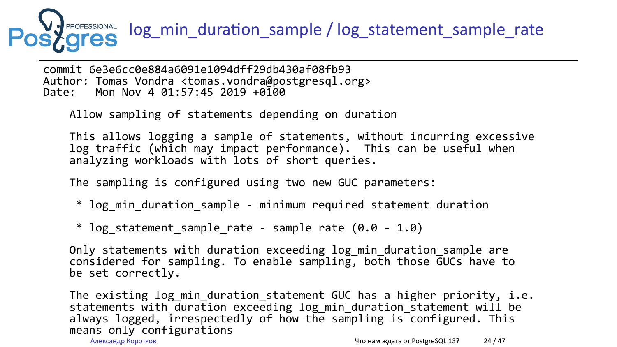

Only statements with duration exceeding log\_min\_duration\_sample are considered for sampling. To enable sampling, both those GUCs have to be set correctly.

The existing log\_min\_duration\_statement GUC has a higher priority, i.e. statements with duration exceeding log\_min\_duration\_statement will be always logged, irrespectedly of how the sampling is configured. This means only configurations<br>Александр Коротков *Александр Коротков* и Александр Коротков и Салександр Коротков и Салександр Коротков и Салек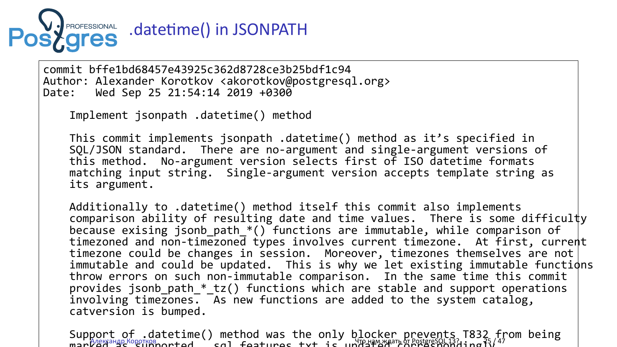

commit bffe1bd68457e43925c362d8728ce3b25bdf1c94 Author: Alexander Korotkov <akorotkov@postgresql.org> Date: Wed Sep 25 21:54:14 2019 +0300

Implement jsonpath .datetime() method

This commit implements jsonpath .datetime() method as it's specified in SQL/JSON standard. There are no-argument and single-argument versions of this method. No-argument version selects first of ISO datetime formats matching input string. Single-argument version accepts template string as its argument.

Additionally to .datetime() method itself this commit also implements comparison ability of resulting date and time values. There is some difficulty because exising jsonb\_path\_\*() functions are immutable, while comparison of timezoned and non-timezoned types involves current timezone. At first, current timezone could be changes in session. Moreover, timezones themselves are not immutable and could be updated. This is why we let existing immutable functions throw errors on such non-immutable comparison. In the same time this commit provides jsonb\_path\_\*\_tz() functions which are stable and support operations involving timezones. As new functions are added to the system catalog, catversion is bumped.

Support of .datetime() method was the only blocker prevents T832 from being<br>managements of latetime cal features tut is unprevening prevents 1832 from being marked as  $\mathbb{R}^{n}$  and  $\mathbb{R}^{n}$  as supported. It is updated to  $\mathbb{R}^{n}$  and  $\mathbb{R}^{n}$  and  $\mathbb{R}^{n}$  and  $\mathbb{R}^{n}$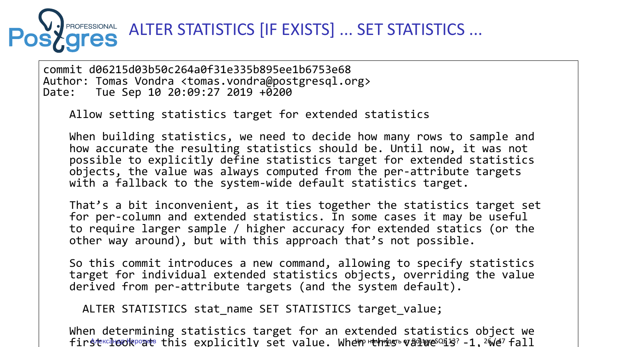

commit d06215d03b50c264a0f31e335b895ee1b6753e68 Author: Tomas Vondra <tomas.vondra@postgresql.org> Date: Tue Sep 10 20:09:27 2019 +0200

Allow setting statistics target for extended statistics

When building statistics, we need to decide how many rows to sample and how accurate the resulting statistics should be. Until now, it was not possible to explicitly define statistics target for extended statistics objects, the value was always computed from the per-attribute targets with a fallback to the system-wide default statistics target.

That's a bit inconvenient, as it ties together the statistics target set for per-column and extended statistics. In some cases it may be useful to require larger sample / higher accuracy for extended statics (or the other way around), but with this approach that's not possible.

So this commit introduces a new command, allowing to specify statistics target for individual extended statistics objects, overriding the value derived from per-attribute targets (and the system default).

ALTER STATISTICS stat\_name SET STATISTICS target\_value;

When determining statistics target for an extended statistics object we first and we this explicitly set value. When this value  $\ell$  is  $\ell$  fall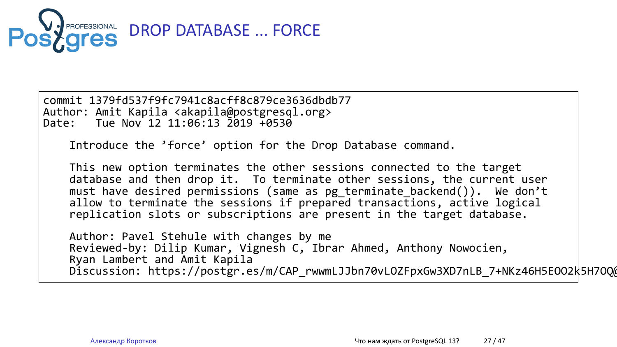

commit 1379fd537f9fc7941c8acff8c879ce3636dbdb77

Author: Amit Kapila <akapila@postgresql.org> Date: Tue Nov 12 11:06:13 2019 +0530 Introduce the 'force' option for the Drop Database command. This new option terminates the other sessions connected to the target database and then drop it. To terminate other sessions, the current user must have desired permissions (same as pg\_terminate\_backend()). We don't allow to terminate the sessions if prepared transactions, active logical replication slots or subscriptions are present in the target database. Author: Pavel Stehule with changes by me Reviewed-by: Dilip Kumar, Vignesh C, Ibrar Ahmed, Anthony Nowocien, Ryan Lambert and Amit Kapila Discussion: https://postgr.es/m/CAP\_rwwmLJJbn70vLOZFpxGw3XD7nLB\_7+NKz46H5EOO2k5H7OQ@mail.gmail.com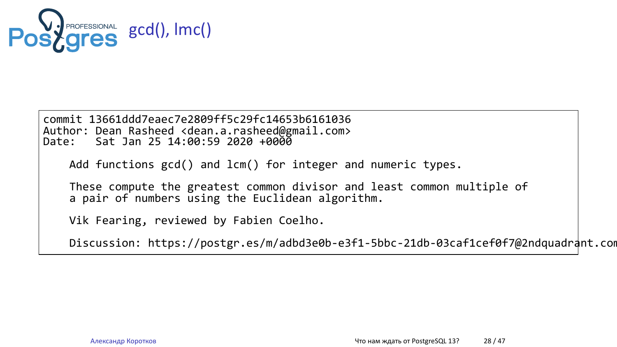

commit 13661ddd7eaec7e2809ff5c29fc14653b6161036 Author: Dean Rasheed <dean.a.rasheed@gmail.com> Date: Sat Jan 25 14:00:59 2020 +0000

Add functions gcd() and lcm() for integer and numeric types.

These compute the greatest common divisor and least common multiple of a pair of numbers using the Euclidean algorithm.

Vik Fearing, reviewed by Fabien Coelho.

Discussion: https://postgr.es/m/adbd3e0b-e3f1-5bbc-21db-03caf1cef0f7@2ndquadrant.com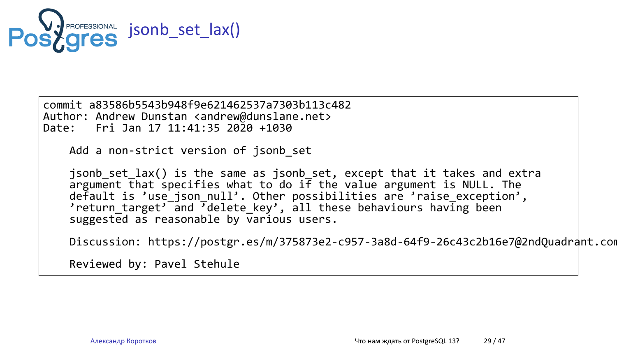

commit a83586b5543b948f9e621462537a7303b113c482 Author: Andrew Dunstan <andrew@dunslane.net> Date: Fri Jan 17 11:41:35 2020 +1030 Add a non-strict version of jsonb\_set

jsonb\_set\_lax() is the same as jsonb\_set, except that it takes and extra argument that specifies what to do if the value argument is NULL. The default is 'use\_json\_null'. Other possibilities are 'raise\_exception', 'return\_target' and 'delete\_key', all these behaviours having been suggested as reasonable by various users.

Discussion: https://postgr.es/m/375873e2-c957-3a8d-64f9-26c43c2b16e7@2ndQuadrant.com

Reviewed by: Pavel Stehule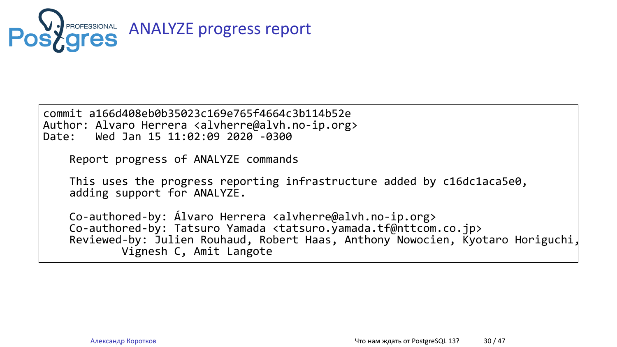

commit a166d408eb0b35023c169e765f4664c3b114b52e Author: Alvaro Herrera <alvherre@alvh.no-ip.org> Date: Wed Jan 15 11:02:09 2020 -0300

Report progress of ANALYZE commands

This uses the progress reporting infrastructure added by c16dc1aca5e0, adding support for ANALYZE.

Co-authored-by: Álvaro Herrera <alvherre@alvh.no-ip.org> Co-authored-by: Tatsuro Yamada <tatsuro.yamada.tf@nttcom.co.jp> Reviewed-by: Julien Rouhaud, Robert Haas, Anthony Nowocien, Kyotaro Horiguchi, Vignesh C, Amit Langote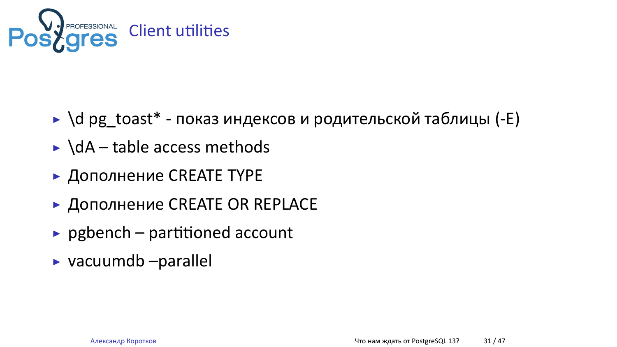

- ▶ \d pg\_toast\* показ индексов и родительской таблицы (-E)
- ▶ \dA table access methods
- ▶ Дополнение CREATE TYPE
- ▶ Дополнение CREATE OR REPLACE
- $\rightarrow$  pgbench partitioned account
- ▶ vacuumdb –parallel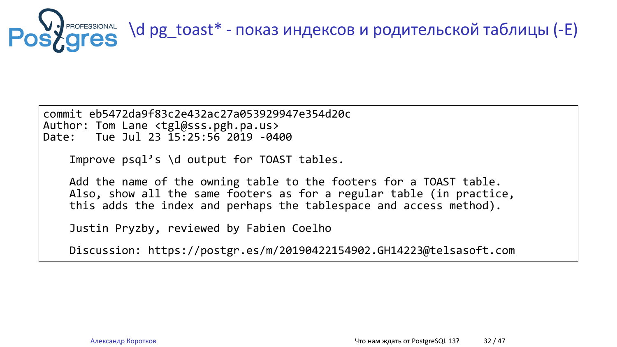

commit eb5472da9f83c2e432ac27a053929947e354d20c Author: Tom Lane <tgl@sss.pgh.pa.us> Date: Tue Jul 23 15:25:56 2019 -0400

Improve psql's \d output for TOAST tables.

Add the name of the owning table to the footers for a TOAST table. Also, show all the same footers as for a regular table (in practice, this adds the index and perhaps the tablespace and access method).

Justin Pryzby, reviewed by Fabien Coelho

Discussion: https://postgr.es/m/20190422154902.GH14223@telsasoft.com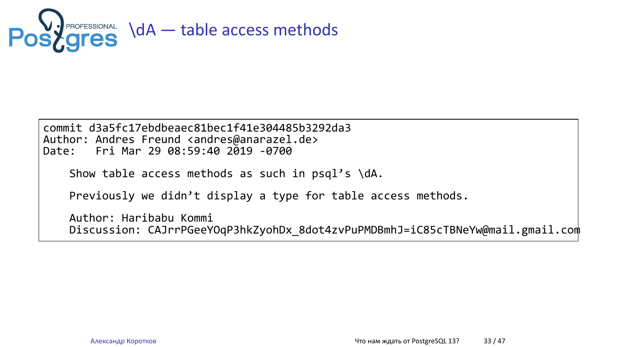

commit d3a5fc17ebdbeaec81bec1f41e304485b3292da3 Author: Andres Freund <andres@anarazel.de> Date: Fri Mar 29 08:59:40 2019 -0700 Show table access methods as such in psql's \dA. Previously we didn't display a type for table access methods. Author: Haribabu Kommi Discussion: CAJrrPGeeYOqP3hkZyohDx\_8dot4zvPuPMDBmhJ=iC85cTBNeYw@mail.gmail.com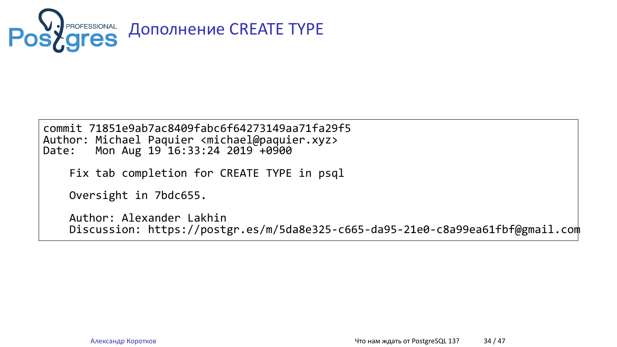

commit 71851e9ab7ac8409fabc6f64273149aa71fa29f5 Author: Michael Paquier <michael@paquier.xyz> Date: Mon Aug 19 16:33:24 2019 +0900

Fix tab completion for CREATE TYPE in psql

Oversight in 7bdc655.

Author: Alexander Lakhin Discussion: https://postgr.es/m/5da8e325-c665-da95-21e0-c8a99ea61fbf@gmail.com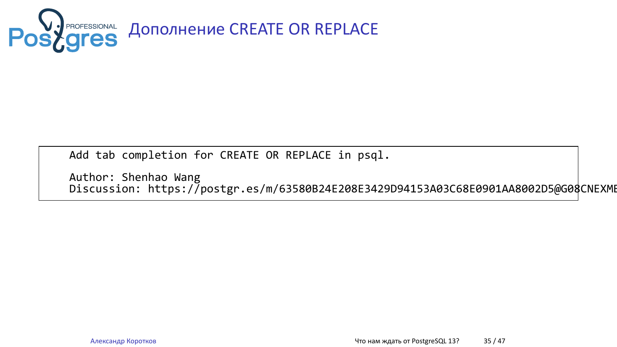

Add tab completion for CREATE OR REPLACE in psql.

Author: Shenhao Wang Discussion: https://postgr.es/m/63580B24E208E3429D94153A03C68E0901AA8002D5@G08CNEXMBPEKD02.g08.fujitsu.local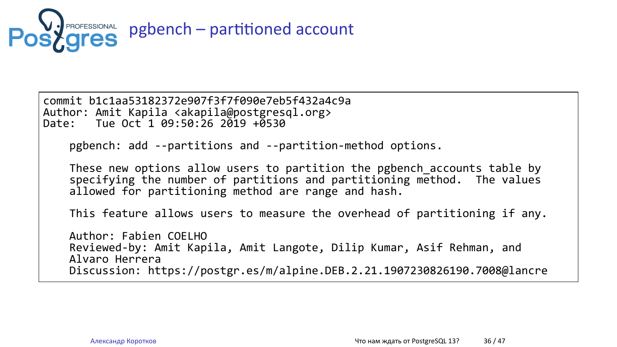

commit b1c1aa53182372e907f3f7f090e7eb5f432a4c9a Author: Amit Kapila <akapila@postgresql.org> Date: Tue Oct 1 09:50:26 2019 +0530 pgbench: add --partitions and --partition-method options. These new options allow users to partition the pgbench\_accounts table by specifying the number of partitions and partitioning method. The values allowed for partitioning method are range and hash. This feature allows users to measure the overhead of partitioning if any. Author: Fabien COELHO Reviewed-by: Amit Kapila, Amit Langote, Dilip Kumar, Asif Rehman, and Alvaro Herrera Discussion: https://postgr.es/m/alpine.DEB.2.21.1907230826190.7008@lancre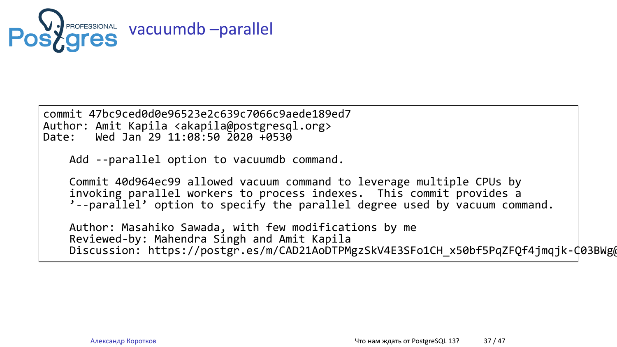

commit 47bc9ced0d0e96523e2c639c7066c9aede189ed7

Author: Amit Kapila <akapila@postgresql.org> Date: Wed Jan 29 11:08:50 2020 +0530 Add --parallel option to vacuumdb command. Commit 40d964ec99 allowed vacuum command to leverage multiple CPUs by invoking parallel workers to process indexes. This commit provides a '--parallel' option to specify the parallel degree used by vacuum command.

Author: Masahiko Sawada, with few modifications by me Reviewed-by: Mahendra Singh and Amit Kapila Discussion: https://postgr.es/m/CAD21AoDTPMgzSkV4E3SFo1CH\_x50bf5PqZFQf4jmqjk-C03BWg@mail.gmail.com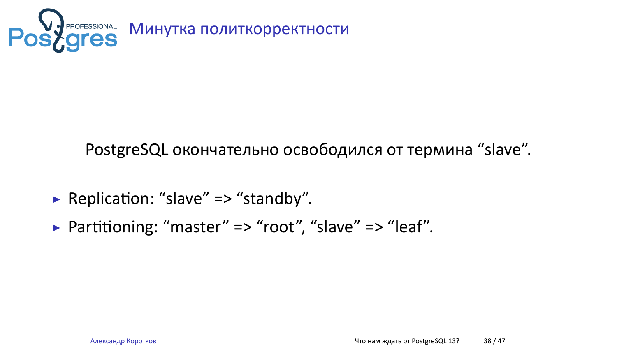

PostgreSQL окончательно освободился от термина "slave".

- ▶ Replication: "slave" => "standby".
- ▶ Partitioning: "master" => "root", "slave" => "leaf".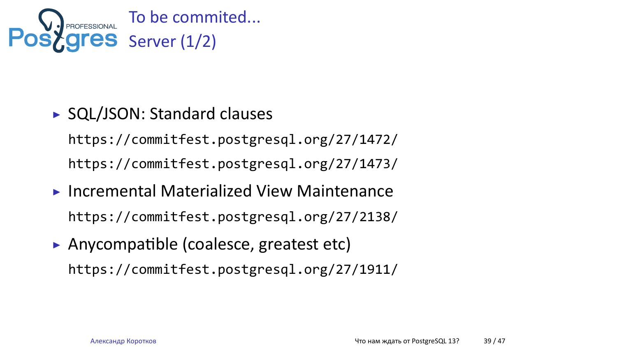

- ▶ SQL/JSON: Standard clauses https://commitfest.postgresql.org/27/1472/ https://commitfest.postgresql.org/27/1473/
- ▶ Incremental Materialized View Maintenance https://commitfest.postgresql.org/27/2138/
- ▶ Anycompatible (coalesce, greatest etc) https://commitfest.postgresql.org/27/1911/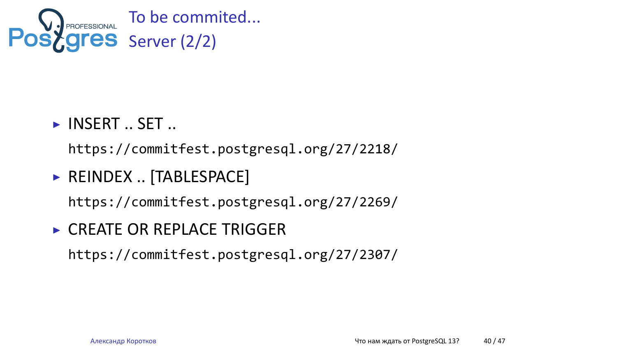

- ▶ INSERT .. SET .. https://commitfest.postgresql.org/27/2218/
- ▶ REINDEX .. [TABLESPACE] https://commitfest.postgresql.org/27/2269/
- ▶ CREATE OR REPLACE TRIGGER https://commitfest.postgresql.org/27/2307/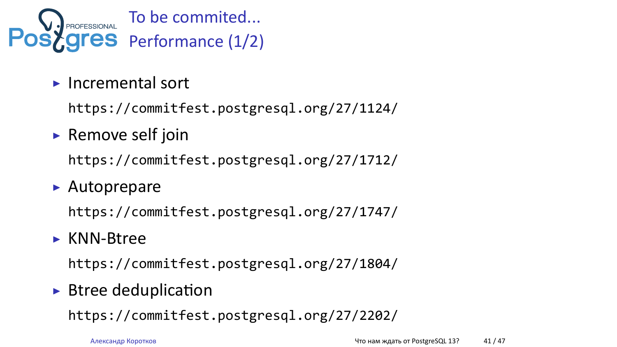

- ▶ Incremental sort https://commitfest.postgresql.org/27/1124/
- ▶ Remove self join https://commitfest.postgresql.org/27/1712/
- ▶ Autoprepare

https://commitfest.postgresql.org/27/1747/

- ▶ KNN-Btree https://commitfest.postgresql.org/27/1804/
- $\blacktriangleright$  Btree deduplication

https://commitfest.postgresql.org/27/2202/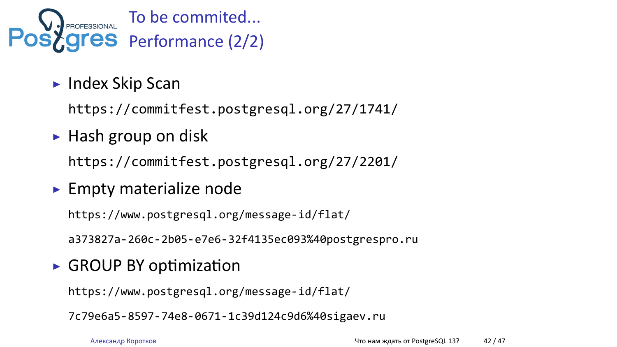

- ▶ Index Skip Scan https://commitfest.postgresql.org/27/1741/
- ▶ Hash group on disk https://commitfest.postgresql.org/27/2201/
- ▶ Empty materialize node

https://www.postgresql.org/message-id/flat/

a373827a-260c-2b05-e7e6-32f4135ec093%40postgrespro.ru

▶ GROUP BY optimization

https://www.postgresql.org/message-id/flat/

7c79e6a5-8597-74e8-0671-1c39d124c9d6%40sigaev.ru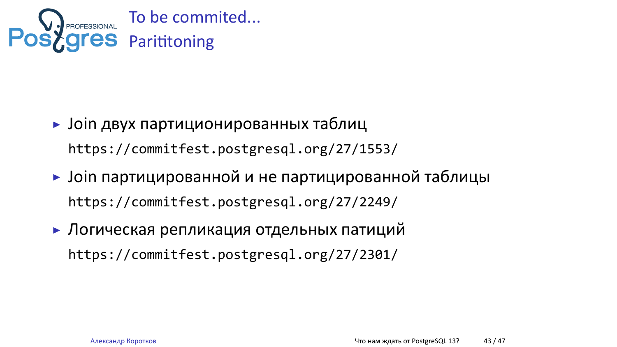

- ▶ Join двух партиционированных таблиц https://commitfest.postgresql.org/27/1553/
- ▶ Join партицированной и не партицированной таблицы https://commitfest.postgresql.org/27/2249/
- ▶ Логическая репликация отдельных патиций https://commitfest.postgresql.org/27/2301/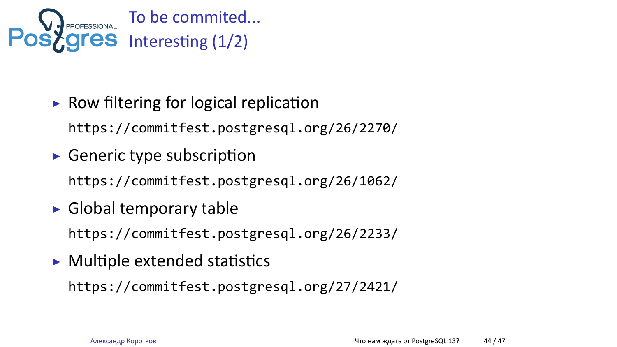

- $\triangleright$  Row filtering for logical replication https://commitfest.postgresql.org/26/2270/
- $\blacktriangleright$  Generic type subscription https://commitfest.postgresql.org/26/1062/
- $\blacktriangleright$  Global temporary table https://commitfest.postgresql.org/26/2233/
- $\triangleright$  Multiple extended statistics https://commitfest.postgresql.org/27/2421/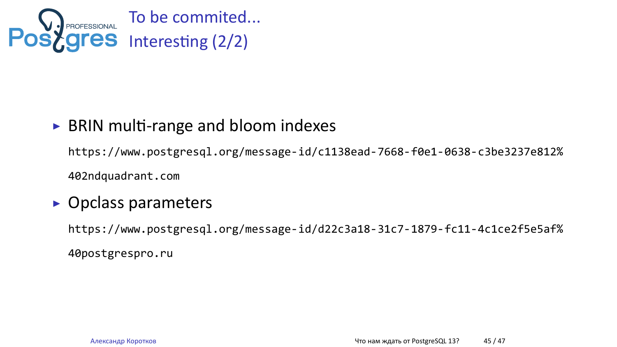

### ▶ BRIN multi-range and bloom indexes

https://www.postgresql.org/message-id/c1138ead-7668-f0e1-0638-c3be3237e812% 402ndquadrant.com

#### ▶ Opclass parameters

https://www.postgresql.org/message-id/d22c3a18-31c7-1879-fc11-4c1ce2f5e5af% 40postgrespro.ru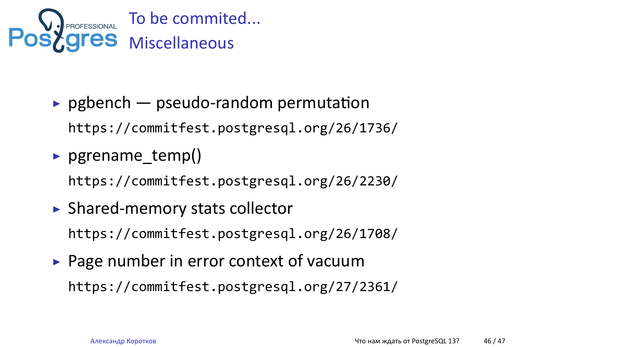

- $\rightarrow$  pgbench  $-$  pseudo-random permutation https://commitfest.postgresql.org/26/1736/
- ▶ pgrename\_temp() https://commitfest.postgresql.org/26/2230/
- ▶ Shared-memory stats collector https://commitfest.postgresql.org/26/1708/
- ▶ Page number in error context of vacuum https://commitfest.postgresql.org/27/2361/